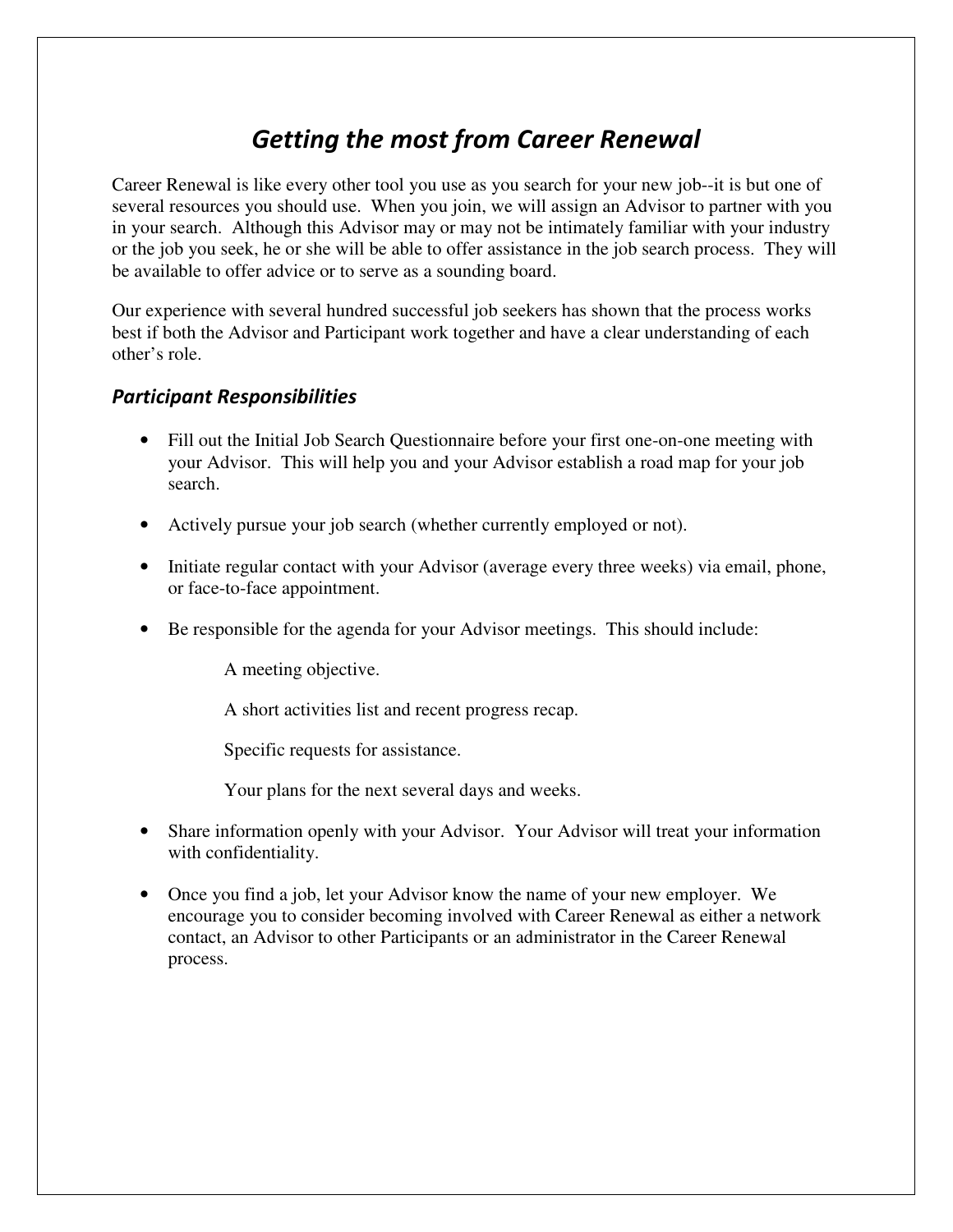### *Getting the most from Career Renewal*

Career Renewal is like every other tool you use as you search for your new job--it is but one of several resources you should use. When you join, we will assign an Advisor to partner with you in your search. Although this Advisor may or may not be intimately familiar with your industry or the job you seek, he or she will be able to offer assistance in the job search process. They will be available to offer advice or to serve as a sounding board.

Our experience with several hundred successful job seekers has shown that the process works best if both the Advisor and Participant work together and have a clear understanding of each other's role.

### *Participant Responsibilities*

- Fill out the Initial Job Search Questionnaire before your first one-on-one meeting with your Advisor. This will help you and your Advisor establish a road map for your job search.
- Actively pursue your job search (whether currently employed or not).
- Initiate regular contact with your Advisor (average every three weeks) via email, phone, or face-to-face appointment.
- Be responsible for the agenda for your Advisor meetings. This should include:

A meeting objective.

A short activities list and recent progress recap.

Specific requests for assistance.

Your plans for the next several days and weeks.

- Share information openly with your Advisor. Your Advisor will treat your information with confidentiality.
- Once you find a job, let your Advisor know the name of your new employer. We encourage you to consider becoming involved with Career Renewal as either a network contact, an Advisor to other Participants or an administrator in the Career Renewal process.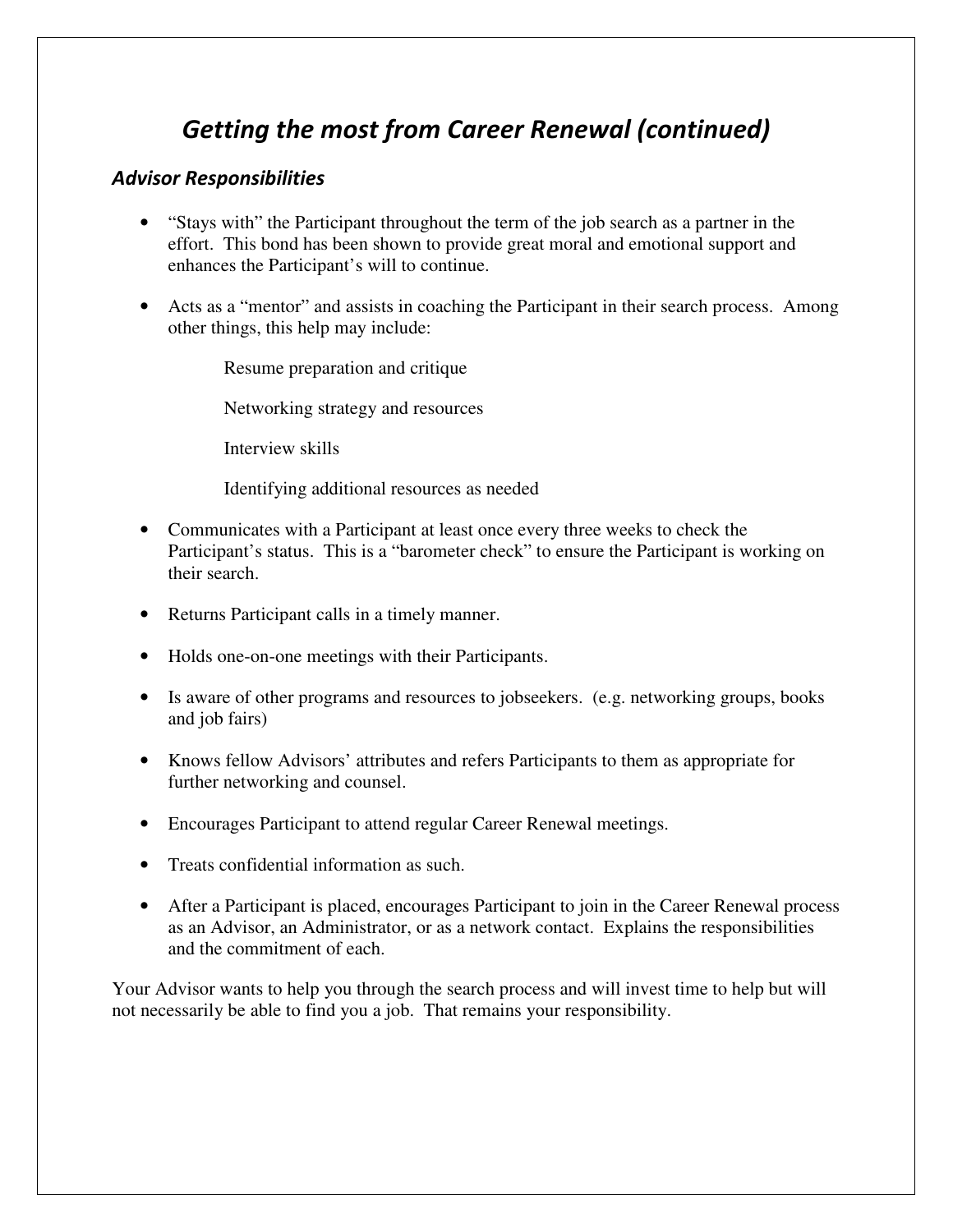## *Getting the most from Career Renewal (continued)*

#### *Advisor Responsibilities*

- "Stays with" the Participant throughout the term of the job search as a partner in the effort. This bond has been shown to provide great moral and emotional support and enhances the Participant's will to continue.
- Acts as a "mentor" and assists in coaching the Participant in their search process. Among other things, this help may include:

Resume preparation and critique

Networking strategy and resources

Interview skills

Identifying additional resources as needed

- Communicates with a Participant at least once every three weeks to check the Participant's status. This is a "barometer check" to ensure the Participant is working on their search.
- Returns Participant calls in a timely manner.
- Holds one-on-one meetings with their Participants.
- Is aware of other programs and resources to jobseekers. (e.g. networking groups, books and job fairs)
- Knows fellow Advisors' attributes and refers Participants to them as appropriate for further networking and counsel.
- Encourages Participant to attend regular Career Renewal meetings.
- Treats confidential information as such.
- After a Participant is placed, encourages Participant to join in the Career Renewal process as an Advisor, an Administrator, or as a network contact. Explains the responsibilities and the commitment of each.

Your Advisor wants to help you through the search process and will invest time to help but will not necessarily be able to find you a job. That remains your responsibility.